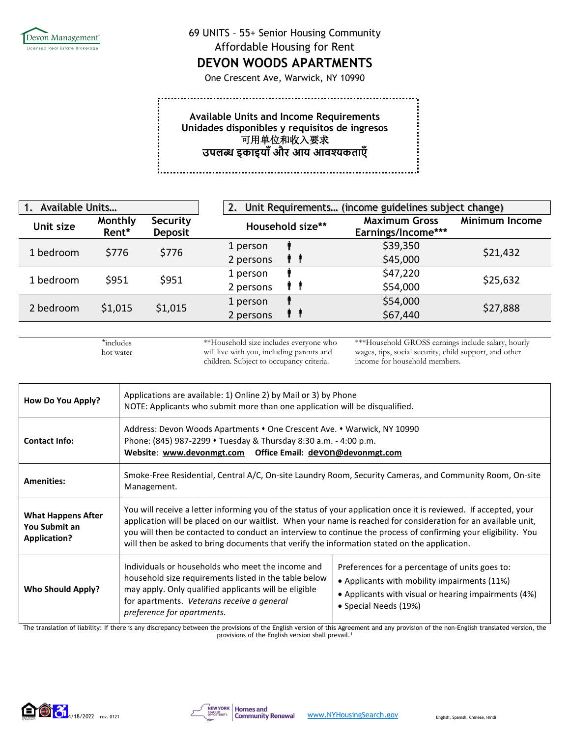

## 69 UNITS – 55+ Senior Housing Community Affordable Housing for Rent

## **DEVON WOODS APARTMENTS**

One Crescent Ave, Warwick, NY 10990

**Available Units and Income Requirements Unidades disponibles y requisitos de ingresos** .<br>可用单位和收入要求 **उपल� इकाइयाँऔर आय आव�कताएँ**

| Available Units<br>1. |                  |                            | Unit Requirements (income guidelines subject change)<br>2. |                                            |                       |
|-----------------------|------------------|----------------------------|------------------------------------------------------------|--------------------------------------------|-----------------------|
| Unit size             | Monthly<br>Rent* | Security<br><b>Deposit</b> | Household size**                                           | <b>Maximum Gross</b><br>Earnings/Income*** | <b>Minimum Income</b> |
| 1 bedroom             | \$776            | \$776                      | 1 person<br>2 persons<br>9 9                               | \$39,350<br>\$45,000                       | \$21,432              |
| 1 bedroom             | \$951            | \$951                      | 1 person<br>T T<br>2 persons                               | \$47,220<br>\$54,000                       | \$25,632              |
| 2 bedroom             | \$1,015          | \$1,015                    | 1 person<br>2 persons                                      | \$54,000<br>\$67,440                       | \$27,888              |

\*includes hot water ă,

\*\*Household size includes everyone who will live with you, including parents and children. Subject to occupancy criteria.

\*\*\*Household GROSS earnings include salary, hourly wages, tips, social security, child support, and other income for household members.

| How Do You Apply?                                                 | Applications are available: 1) Online 2) by Mail or 3) by Phone<br>NOTE: Applicants who submit more than one application will be disqualified.                                                                                                                                                                                                                                                                                                       |                                                                                                                                                                                 |  |
|-------------------------------------------------------------------|------------------------------------------------------------------------------------------------------------------------------------------------------------------------------------------------------------------------------------------------------------------------------------------------------------------------------------------------------------------------------------------------------------------------------------------------------|---------------------------------------------------------------------------------------------------------------------------------------------------------------------------------|--|
| <b>Contact Info:</b>                                              | Address: Devon Woods Apartments • One Crescent Ave. • Warwick, NY 10990<br>Phone: (845) 987-2299 • Tuesday & Thursday 8:30 a.m. - 4:00 p.m.<br>Website: www.devonmgt.com  Office Email: devon@devonmgt.com                                                                                                                                                                                                                                           |                                                                                                                                                                                 |  |
| <b>Amenities:</b>                                                 | Smoke-Free Residential, Central A/C, On-site Laundry Room, Security Cameras, and Community Room, On-site<br>Management.                                                                                                                                                                                                                                                                                                                              |                                                                                                                                                                                 |  |
| <b>What Happens After</b><br>You Submit an<br><b>Application?</b> | You will receive a letter informing you of the status of your application once it is reviewed. If accepted, your<br>application will be placed on our waitlist. When your name is reached for consideration for an available unit,<br>you will then be contacted to conduct an interview to continue the process of confirming your eligibility. You<br>will then be asked to bring documents that verify the information stated on the application. |                                                                                                                                                                                 |  |
| <b>Who Should Apply?</b>                                          | Individuals or households who meet the income and<br>household size requirements listed in the table below<br>may apply. Only qualified applicants will be eligible<br>for apartments. Veterans receive a general<br>preference for apartments.                                                                                                                                                                                                      | Preferences for a percentage of units goes to:<br>• Applicants with mobility impairments (11%)<br>• Applicants with visual or hearing impairments (4%)<br>• Special Needs (19%) |  |

The translation of liability: If there is any discrepancy between the provisions of the English version of this Agreement and any provision of the non-English translated version, the provisions of the English version shall prevail.<sup>1</sup>